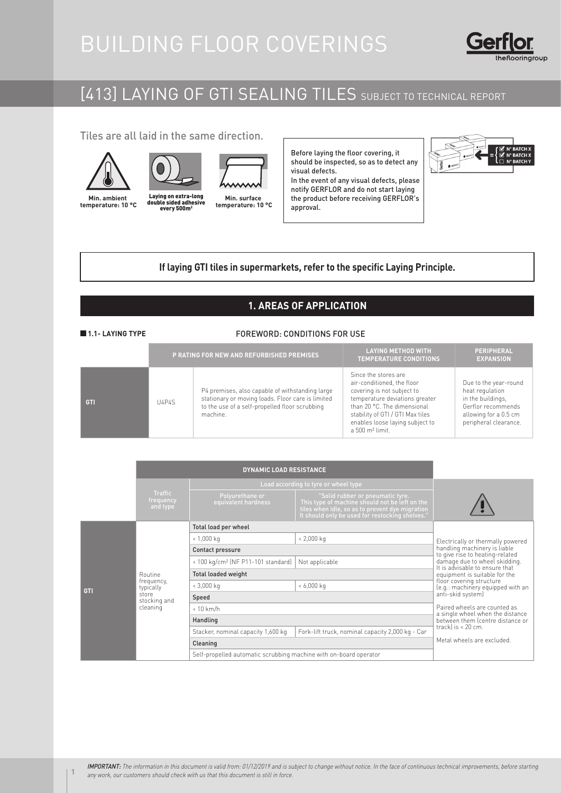# BUILDING FLOOR COVERINGS



# [413] LAYING OF GTI SEALING TILES SUBJECT TO TECHNICAL REPORT

Tiles are all laid in the same direction.







**Min. ambient temperature: 10 °C**

Laying on extra-long<br>double sided adhesive <sup>o</sup>C adupte sided danesive temperature: Laying on extra-long

**Min. surface temperature: 10 °C**

Before laying the floor covering, it should be inspected, so as to detect any visual defects. In the event of any visual defects, please

notify GERFLOR and do not start laying the product before receiving GERFLOR's approval.



# **If laying GTI tiles in supermarkets, refer to the specific Laying Principle.**

# **1. AREAS OF APPLICATION**

# **1.1- LAYING TYPE**

# FOREWORD: CONDITIONS FOR USE

|            |       | P RATING FOR NEW AND REFURBISHED PREMISES                                                                                                                          | <b>LAYING METHOD WITH</b><br><b>TEMPERATURE CONDITIONS</b>                                                                                                                                                                                              | <b>PERIPHERAL</b><br><b>EXPANSION</b>                                                                                                 |
|------------|-------|--------------------------------------------------------------------------------------------------------------------------------------------------------------------|---------------------------------------------------------------------------------------------------------------------------------------------------------------------------------------------------------------------------------------------------------|---------------------------------------------------------------------------------------------------------------------------------------|
| <b>GTI</b> | U4P4S | P4 premises, also capable of withstanding large<br>stationary or moving loads. Floor care is limited<br>to the use of a self-propelled floor scrubbing<br>machine. | Since the stores are<br>air-conditioned, the floor<br>covering is not subject to<br>temperature deviations greater<br>than 20 °C. The dimensional<br>stability of GTI / GTI Max tiles<br>enables loose laying subject to<br>a 500 m <sup>2</sup> limit. | Due to the year-round<br>heat regulation<br>in the buildings.<br>Gerflor recommends<br>allowing for a 0.5 cm<br>peripheral clearance. |

|     |                                                                         | Load according to tyre or wheel type                              |                                                                                                                                                                                          |                                                                 |  |
|-----|-------------------------------------------------------------------------|-------------------------------------------------------------------|------------------------------------------------------------------------------------------------------------------------------------------------------------------------------------------|-----------------------------------------------------------------|--|
|     | <b>Traffic</b><br>frequency<br>and type                                 | Polyurethane or<br>equivalent hardness                            | "Solid rubber or pneumatic tyre.<br>This type of machine should not be left on the<br>tiles when idle, so as to prevent dye migration<br>It should only be used for restocking shelves.' |                                                                 |  |
| GTI | Routine<br>frequency,<br>typically<br>store<br>stocking and<br>cleaning | Total load per wheel                                              |                                                                                                                                                                                          |                                                                 |  |
|     |                                                                         | $< 1,000$ kg                                                      | $< 2,000$ kg                                                                                                                                                                             | Electrically or thermally powered                               |  |
|     |                                                                         | Contact pressure                                                  | handling machinery is liable<br>to give rise to heating-related                                                                                                                          |                                                                 |  |
|     |                                                                         | < 100 kg/cm <sup>2</sup> (NF P11-101 standard)                    | Not applicable                                                                                                                                                                           | damage due to wheel skidding.<br>It is advisable to ensure that |  |
|     |                                                                         | <b>Total loaded weight</b>                                        | equipment is suitable for the                                                                                                                                                            |                                                                 |  |
|     |                                                                         | $< 3,000$ kg                                                      | $< 6,000$ kg                                                                                                                                                                             | floor covering structure<br>(e.g.: machinery equipped with an   |  |
|     |                                                                         | Speed                                                             | anti-skid system)<br>Paired wheels are counted as<br>a single wheel when the distance<br>between them (centre distance or                                                                |                                                                 |  |
|     |                                                                         | $< 10$ km/h                                                       |                                                                                                                                                                                          |                                                                 |  |
|     |                                                                         | Handling                                                          |                                                                                                                                                                                          |                                                                 |  |
|     |                                                                         | Stacker, nominal capacity 1,600 kg                                | Fork-lift truck, nominal capacity 2,000 kg - Car                                                                                                                                         | trackl is $< 20$ cm.                                            |  |
|     |                                                                         | Cleaning                                                          | Metal wheels are excluded.                                                                                                                                                               |                                                                 |  |
|     |                                                                         | Self-propelled automatic scrubbing machine with on-board operator |                                                                                                                                                                                          |                                                                 |  |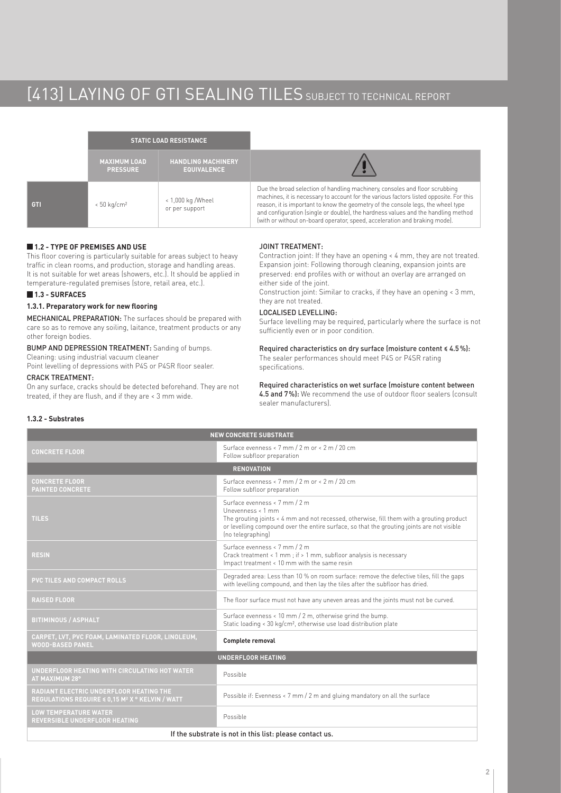# [413] LAYING OF GTI SEALING TILES SUBJECT TO TECHNICAL REPORT

|            |                                        | <b>STATIC LOAD RESISTANCE</b>                   |                                                                                                                                                                                                                                                                                                                                                                                                                              |
|------------|----------------------------------------|-------------------------------------------------|------------------------------------------------------------------------------------------------------------------------------------------------------------------------------------------------------------------------------------------------------------------------------------------------------------------------------------------------------------------------------------------------------------------------------|
|            | <b>MAXIMUM LOAD</b><br><b>PRESSURE</b> | <b>HANDLING MACHINERY</b><br><b>EQUIVALENCE</b> |                                                                                                                                                                                                                                                                                                                                                                                                                              |
| <b>GTI</b> | $< 50$ kg/cm <sup>2</sup>              | < 1,000 kg / Wheel<br>or per support            | Due the broad selection of handling machinery, consoles and floor scrubbing<br>machines, it is necessary to account for the various factors listed opposite. For this<br>reason, it is important to know the geometry of the console legs, the wheel type<br>and configuration (single or double), the hardness values and the handling method<br>(with or without on-board operator, speed, acceleration and braking mode). |

# **1.2 - TYPE OF PREMISES AND USE**

This floor covering is particularly suitable for areas subject to heavy traffic in clean rooms, and production, storage and handling areas. It is not suitable for wet areas (showers, etc.). It should be applied in temperature-regulated premises (store, retail area, etc.).

# **1.3 - SURFACES**

## **1.3.1. Preparatory work for new flooring**

MECHANICAL PREPARATION: The surfaces should be prepared with care so as to remove any soiling, laitance, treatment products or any other foreign bodies.

# BUMP AND DEPRESSION TREATMENT: Sanding of bumps.

Cleaning: using industrial vacuum cleaner Point levelling of depressions with P4S or P4SR floor sealer.

### CRACK TREATMENT:

On any surface, cracks should be detected beforehand. They are not treated, if they are flush, and if they are < 3 mm wide.

# JOINT TREATMENT:

Contraction joint: If they have an opening < 4 mm, they are not treated. Expansion joint: Following thorough cleaning, expansion joints are preserved: end profiles with or without an overlay are arranged on either side of the joint.

Construction joint: Similar to cracks, if they have an opening < 3 mm, they are not treated.

## LOCALISED LEVELLING:

Surface levelling may be required, particularly where the surface is not sufficiently even or in poor condition.

Required characteristics on dry surface (moisture content ≤ 4.5 %): The sealer performances should meet P4S or P4SR rating specifications.

Required characteristics on wet surface (moisture content between 4.5 and 7%): We recommend the use of outdoor floor sealers (consult sealer manufacturers).

# **1.3.2 - Substrates**

| <b>NEW CONCRETE SUBSTRATE</b>                                                                          |                                                                                                                                                                                                                                                                    |  |  |  |  |
|--------------------------------------------------------------------------------------------------------|--------------------------------------------------------------------------------------------------------------------------------------------------------------------------------------------------------------------------------------------------------------------|--|--|--|--|
| <b>CONCRETE FLOOR</b>                                                                                  | Surface evenness < 7 mm / 2 m or < 2 m / 20 cm<br>Follow subfloor preparation                                                                                                                                                                                      |  |  |  |  |
|                                                                                                        | <b>RENOVATION</b>                                                                                                                                                                                                                                                  |  |  |  |  |
| <b>CONCRETE FLOOR</b><br><b>PAINTED CONCRETE</b>                                                       | Surface evenness < 7 mm / 2 m or < 2 m / 20 cm<br>Follow subfloor preparation                                                                                                                                                                                      |  |  |  |  |
| <b>TILES</b>                                                                                           | Surface evenness < 7 mm / 2 m<br>Unevenness < 1 mm<br>The grouting joints < 4 mm and not recessed, otherwise, fill them with a grouting product<br>or levelling compound over the entire surface, so that the grouting joints are not visible<br>(no telegraphing) |  |  |  |  |
| <b>RESIN</b>                                                                                           | Surface evenness < 7 mm / 2 m<br>Crack treatment < 1 mm; if > 1 mm, subfloor analysis is necessary<br>Impact treatment < 10 mm with the same resin                                                                                                                 |  |  |  |  |
| <b>PVC TILES AND COMPACT ROLLS</b>                                                                     | Degraded area: Less than 10 % on room surface: remove the defective tiles, fill the gaps<br>with levelling compound, and then lay the tiles after the subfloor has dried.                                                                                          |  |  |  |  |
| <b>RAISED FLOOR</b>                                                                                    | The floor surface must not have any uneven areas and the joints must not be curved.                                                                                                                                                                                |  |  |  |  |
| <b>BITIMINOUS / ASPHALT</b>                                                                            | Surface evenness < 10 mm / 2 m, otherwise grind the bump.<br>Static loading < 30 kg/cm <sup>2</sup> , otherwise use load distribution plate                                                                                                                        |  |  |  |  |
| CARPET, LVT, PVC FOAM, LAMINATED FLOOR, LINOLEUM,<br><b>WOOD-BASED PANEL</b>                           | <b>Complete removal</b>                                                                                                                                                                                                                                            |  |  |  |  |
| <b>UNDERFLOOR HEATING</b>                                                                              |                                                                                                                                                                                                                                                                    |  |  |  |  |
| UNDERFLOOR HEATING WITH CIRCULATING HOT WATER<br>AT MAXIMUM 28°                                        | Possible                                                                                                                                                                                                                                                           |  |  |  |  |
| RADIANT ELECTRIC UNDERFLOOR HEATING THE<br>REGULATIONS REQUIRE < 0,15 M <sup>2</sup> X ° KELVIN / WATT | Possible if: Evenness < 7 mm / 2 m and gluing mandatory on all the surface                                                                                                                                                                                         |  |  |  |  |
| <b>LOW TEMPERATURE WATER</b><br><b>REVERSIBLE UNDERFLOOR HEATING</b>                                   | Possible                                                                                                                                                                                                                                                           |  |  |  |  |
| If the substrate is not in this list: please contact us.                                               |                                                                                                                                                                                                                                                                    |  |  |  |  |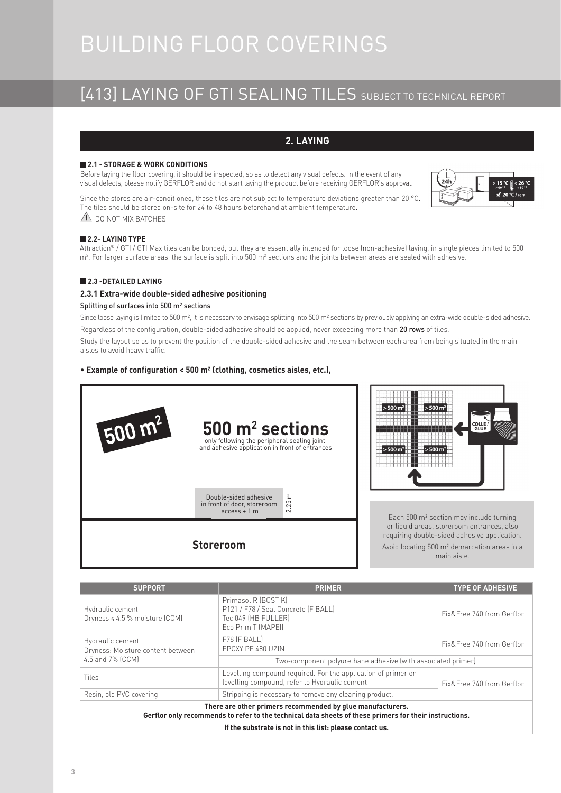# BUILDING FLOOR COVERINGS

# [413] LAYING OF GTI SEALING TILES SUBJECT TO TECHNICAL REPORT

# **2. LAYING**

# **2.1 - STORAGE & WORK CONDITIONS**

Before laying the floor covering, it should be inspected, so as to detect any visual defects. In the event of any visual defects, please notify GERFLOR and do not start laying the product before receiving GERFLOR's approval.

Since the stores are air-conditioned, these tiles are not subject to temperature deviations greater than 20 °C. The tiles should be stored on-site for 24 to 48 hours beforehand at ambient temperature. **1** DO NOT MIX BATCHES



# **2.2- LAYING TYPE**

Attraction® / GTI / GTI Max tiles can be bonded, but they are essentially intended for loose (non-adhesive) laying, in single pieces limited to 500  $m^2$ . For larger surface areas, the surface is split into 500  $m^2$  sections and the joints between areas are sealed with adhesive.

# **2.3 -DETAILED LAYING**

# **2.3.1 Extra-wide double-sided adhesive positioning**

# Splitting of surfaces into 500 m² sections

Since loose laying is limited to 500 m<sup>2</sup>, it is necessary to envisage splitting into 500 m<sup>2</sup> sections by previously applying an extra-wide double-sided adhesive. Regardless of the configuration, double-sided adhesive should be applied, never exceeding more than 20 rows of tiles.

Study the layout so as to prevent the position of the double-sided adhesive and the seam between each area from being situated in the main aisles to avoid heavy traffic.

# • **Example of configuration < 500 m² (clothing, cosmetics aisles, etc.),**





Each 500 m² section may include turning or liquid areas, storeroom entrances, also requiring double-sided adhesive application. Avoid locating 500 m² demarcation areas in a main aisle.

| <b>SUPPORT</b>                                                                                                                                                       | <b>PRIMER</b>                                                                                                  | <b>TYPE OF ADHESIVE</b>   |  |  |
|----------------------------------------------------------------------------------------------------------------------------------------------------------------------|----------------------------------------------------------------------------------------------------------------|---------------------------|--|--|
| Hydraulic cement<br>Dryness $\le 4.5$ % moisture (CCM)                                                                                                               | Primasol R (BOSTIK)<br>P121 / F78 / Seal Concrete (F BALL)<br>Tec 049 [HB FULLER]<br>Eco Prim T (MAPEI)        | Fix&Free 740 from Gerflor |  |  |
| Hydraulic cement<br>Dryness: Moisture content between                                                                                                                | F78 (F BALL)<br>FPOXY PF 480 UZIN                                                                              | Fix&Free 740 from Gerflor |  |  |
| 4.5 and 7% (CCM)                                                                                                                                                     | Two-component polyurethane adhesive (with associated primer)                                                   |                           |  |  |
| Tiles                                                                                                                                                                | Levelling compound required. For the application of primer on<br>levelling compound, refer to Hydraulic cement | Fix&Free 740 from Gerflor |  |  |
| Resin, old PVC covering                                                                                                                                              | Stripping is necessary to remove any cleaning product.                                                         |                           |  |  |
| There are other primers recommended by glue manufacturers.<br>Gerflor only recommends to refer to the technical data sheets of these primers for their instructions. |                                                                                                                |                           |  |  |
| If the substrate is not in this list: please contact us.                                                                                                             |                                                                                                                |                           |  |  |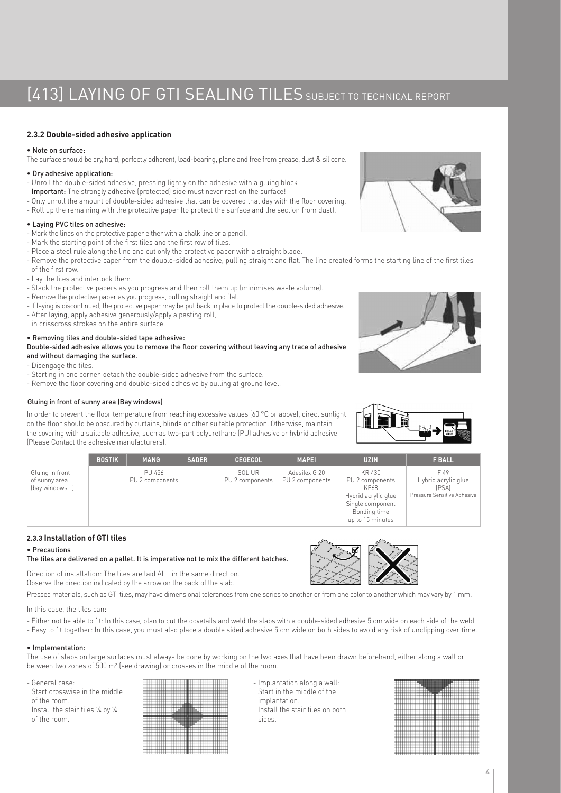# [413] LAYING OF GTI SEALING TILES SUBJECT TO TECHNICAL REPORT

# **2.3.2 Double-sided adhesive application**

# • Note on surface:

The surface should be dry, hard, perfectly adherent, load-bearing, plane and free from grease, dust & silicone.

## • Dry adhesive application:

- Unroll the double-sided adhesive, pressing lightly on the adhesive with a gluing block
- Important: The strongly adhesive (protected) side must never rest on the surface!
- Only unroll the amount of double-sided adhesive that can be covered that day with the floor covering.
- Roll up the remaining with the protective paper (to protect the surface and the section from dust).

# • Laying PVC tiles on adhesive:

- Mark the lines on the protective paper either with a chalk line or a pencil.
- Mark the starting point of the first tiles and the first row of tiles.
- Place a steel rule along the line and cut only the protective paper with a straight blade.
- Remove the protective paper from the double-sided adhesive, pulling straight and flat. The line created forms the starting line of the first tiles of the first row.
- Lay the tiles and interlock them.
- Stack the protective papers as you progress and then roll them up (minimises waste volume).
- Remove the protective paper as you progress, pulling straight and flat.
- If laying is discontinued, the protective paper may be put back in place to protect the double-sided adhesive.
- After laying, apply adhesive generously/apply a pasting roll,
- in crisscross strokes on the entire surface.

# • Removing tiles and double-sided tape adhesive:

Double-sided adhesive allows you to remove the floor covering without leaving any trace of adhesive and without damaging the surface.

- Disengage the tiles.
- Starting in one corner, detach the double-sided adhesive from the surface.
- Remove the floor covering and double-sided adhesive by pulling at ground level.

### Gluing in front of sunny area (Bay windows)

In order to prevent the floor temperature from reaching excessive values (60 °C or above), direct sunlight on the floor should be obscured by curtains, blinds or other suitable protection. Otherwise, maintain the covering with a suitable adhesive, such as two-part polyurethane (PU) adhesive or hybrid adhesive (Please Contact the adhesive manufacturers).



|                                                   | <b>BOSTIK</b> | <b>MANG</b>               | <b>SADER</b> | <b>CEGECOL</b>            | <b>MAPEL</b>                     | <b>UZIN</b>                                                                                                      | <b>F BALL</b>                                                       |
|---------------------------------------------------|---------------|---------------------------|--------------|---------------------------|----------------------------------|------------------------------------------------------------------------------------------------------------------|---------------------------------------------------------------------|
| Gluing in front<br>of sunny area<br>(bay windows) |               | PU 456<br>PU 2 components |              | SOL UR<br>PU 2 components | Adesilex G 20<br>PU 2 components | KR 430<br>PU 2 components<br>KE68<br>Hybrid acrylic glue<br>Single component<br>Bonding time<br>up to 15 minutes | F 49<br>Hybrid acrylic glue<br>(PSA)<br>Pressure Sensitive Adhesive |

# **2.3.3 Installation of GTI tiles**

#### • Precautions

#### The tiles are delivered on a pallet. It is imperative not to mix the different batches.

Direction of installation: The tiles are laid ALL in the same direction. Observe the direction indicated by the arrow on the back of the slab.

Pressed materials, such as GTI tiles, may have dimensional tolerances from one series to another or from one color to another which may vary by 1 mm.

In this case, the tiles can:

- Either not be able to fit: In this case, plan to cut the dovetails and weld the slabs with a double-sided adhesive 5 cm wide on each side of the weld.
- Easy to fit together: In this case, you must also place a double sided adhesive 5 cm wide on both sides to avoid any risk of unclipping over time.

# • Implementation:

The use of slabs on large surfaces must always be done by working on the two axes that have been drawn beforehand, either along a wall or between two zones of 500 m² (see drawing) or crosses in the middle of the room.

- General case: Start crosswise in the middle of the room. Install the stair tiles ¼ by ¼ of the room.



- Implantation along a wall: Start in the middle of the implantation. Install the stair tiles on both sides.



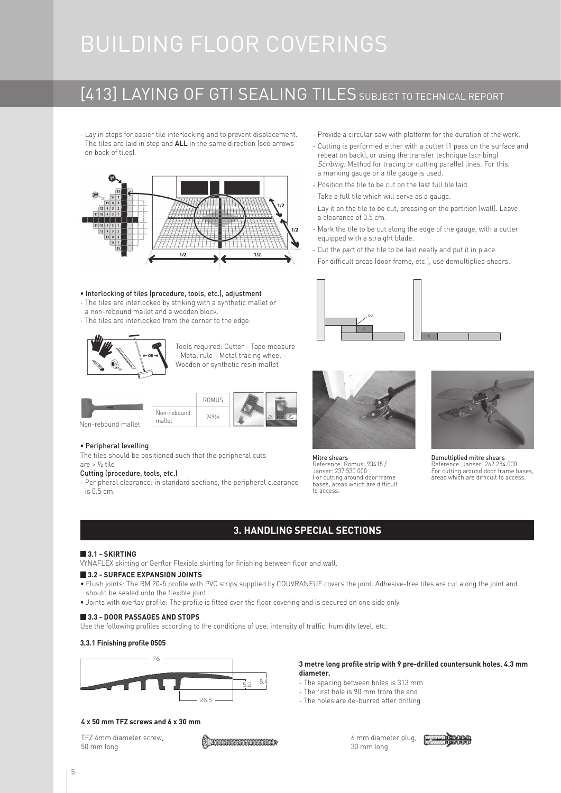# BUILDING FLOOR COVERINGS

# [413] LAYING OF GTI SEALING TILES SUBJECT TO TECHNICAL REPORT

- Lay in steps for easier tile interlocking and to prevent displacement. The tiles are laid in step and ALL in the same direction (see arrows on back of tiles).



#### • Interlocking of tiles (procedure, tools, etc.), adjustment

- The tiles are interlocked by striking with a synthetic mallet or
- a non-rebound mallet and a wooden block.
- The tiles are interlocked from the corner to the edge.



Tools required: Cutter - Tape measure - Metal rule - Metal tracing wheel - Wooden or synthetic resin mallet



#### • Peripheral levelling

The tiles should be positioned such that the peripheral cuts are > ½ tile

#### Cutting (procedure, tools, etc.)

- Peripheral clearance: in standard sections, the peripheral clearance is 0.5 cm.

- Provide a circular saw with platform for the duration of the work.
- Cutting is performed either with a cutter (1 pass on the surface and repeat on back), or using the transfer technique (scribing) Scribing: Method for tracing or cutting parallel lines. For this, a marking gauge or a tile gauge is used.
- Position the tile to be cut on the last full tile laid.
- Take a full tile which will serve as a gauge.
- Lay it on the tile to be cut, pressing on the partition (wall). Leave a clearance of 0.5 cm.
- Mark the tile to be cut along the edge of the gauge, with a cutter equipped with a straight blade.
- Cut the part of the tile to be laid neatly and put it in place.
- For difficult areas (door frame, etc.), use demultiplied shears.





Mitre shears Reference: Romus: 93415 / Janser: 237 530 000 For cutting around door frame bases, areas which are difficult to access.



Demultiplied mitre shears Reference: Janser: 262 284 000 For cutting around door frame bases, areas which are difficult to access.

# **3. HANDLING SPECIAL SECTIONS**

### **3.1 - SKIRTING**

VYNAFLEX skirting or Gerflor Flexible skirting for finishing between floor and wall.

## **3.2 - SURFACE EXPANSION JOINTS**

- Flush joints: The RM 20-5 profile with PVC strips supplied by COUVRANEUF covers the joint. Adhesive-free tiles are cut along the joint and should be sealed onto the flexible joint.
- Joints with overlay profile: The profile is fitted over the floor covering and is secured on one side only.

### **3.3 - DOOR PASSAGES AND STOPS**

Use the following profiles according to the conditions of use: intensity of traffic, humidity level, etc.

# **3.3.1 Finishing profile 0505**



# **3 metre long profile strip with 9 pre-drilled countersunk holes, 4.3 mm diameter.**

- The spacing between holes is 313 mm
- The first hole is 90 mm from the end
- The holes are de-burred after drilling

## **4 x 50 mm TFZ screws and 6 x 30 mm**

TFZ 4mm diameter screw, 50 mm long



6 mm diameter plug, 30 mm long